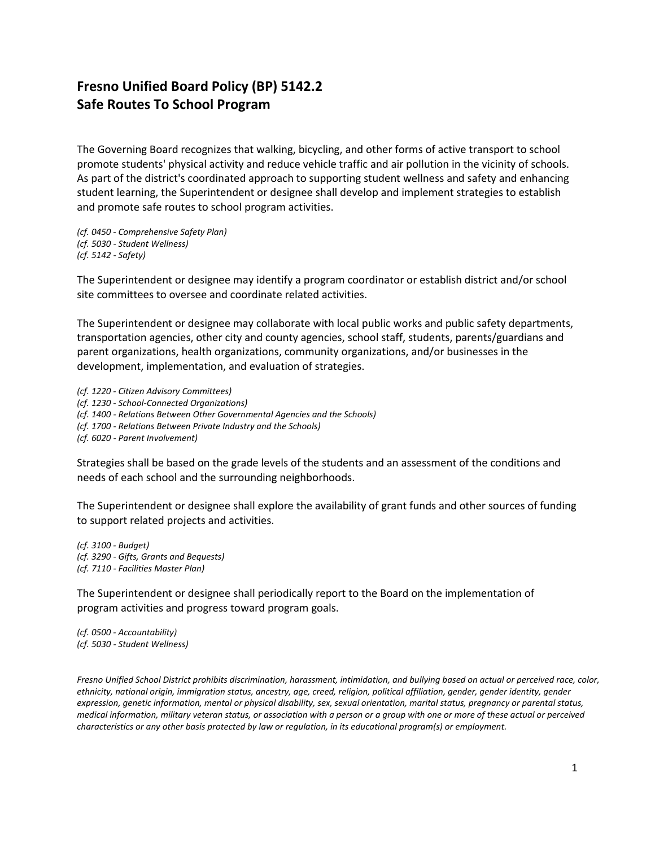## **Fresno Unified Board Policy (BP) 5142.2 Safe Routes To School Program**

The Governing Board recognizes that walking, bicycling, and other forms of active transport to school promote students' physical activity and reduce vehicle traffic and air pollution in the vicinity of schools. As part of the district's coordinated approach to supporting student wellness and safety and enhancing student learning, the Superintendent or designee shall develop and implement strategies to establish and promote safe routes to school program activities.

*(cf. 0450 - Comprehensive Safety Plan) (cf. 5030 - Student Wellness) (cf. 5142 - Safety)*

The Superintendent or designee may identify a program coordinator or establish district and/or school site committees to oversee and coordinate related activities.

The Superintendent or designee may collaborate with local public works and public safety departments, transportation agencies, other city and county agencies, school staff, students, parents/guardians and parent organizations, health organizations, community organizations, and/or businesses in the development, implementation, and evaluation of strategies.

*(cf. 1220 - Citizen Advisory Committees) (cf. 1230 - School-Connected Organizations) (cf. 1400 - Relations Between Other Governmental Agencies and the Schools) (cf. 1700 - Relations Between Private Industry and the Schools) (cf. 6020 - Parent Involvement)*

Strategies shall be based on the grade levels of the students and an assessment of the conditions and needs of each school and the surrounding neighborhoods.

The Superintendent or designee shall explore the availability of grant funds and other sources of funding to support related projects and activities.

*(cf. 3100 - Budget) (cf. 3290 - Gifts, Grants and Bequests) (cf. 7110 - Facilities Master Plan)*

The Superintendent or designee shall periodically report to the Board on the implementation of program activities and progress toward program goals.

*(cf. 0500 - Accountability) (cf. 5030 - Student Wellness)*

*Fresno Unified School District prohibits discrimination, harassment, intimidation, and bullying based on actual or perceived race, color, ethnicity, national origin, immigration status, ancestry, age, creed, religion, political affiliation, gender, gender identity, gender expression, genetic information, mental or physical disability, sex, sexual orientation, marital status, pregnancy or parental status, medical information, military veteran status, or association with a person or a group with one or more of these actual or perceived characteristics or any other basis protected by law or regulation, in its educational program(s) or employment.*